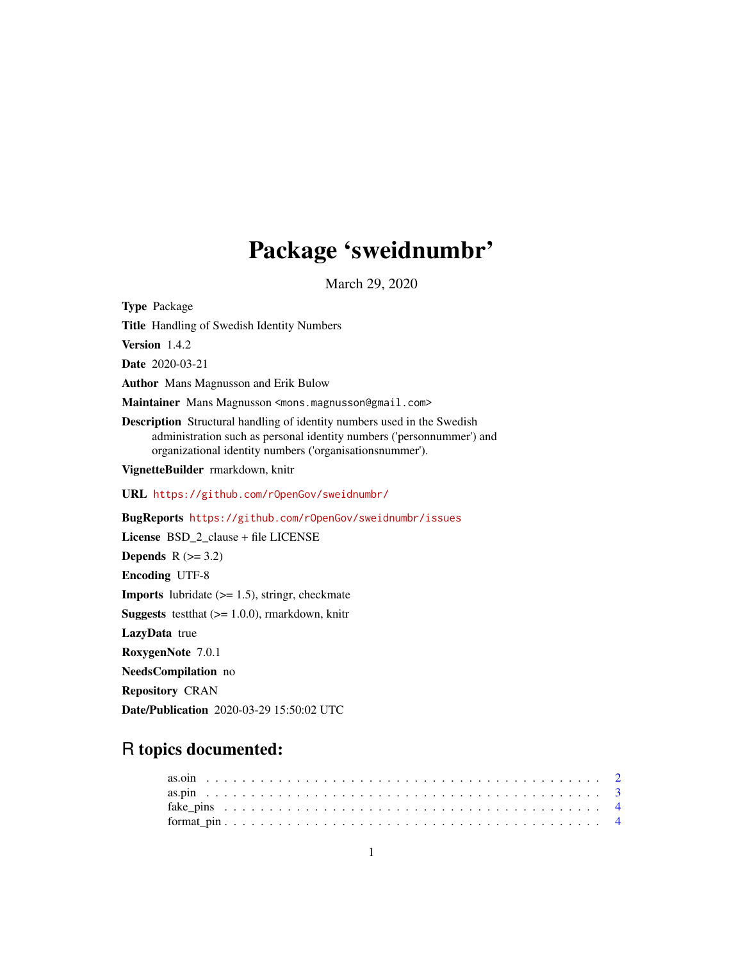### Package 'sweidnumbr'

March 29, 2020

<span id="page-0-0"></span>Type Package Title Handling of Swedish Identity Numbers Version 1.4.2 Date 2020-03-21 Author Mans Magnusson and Erik Bulow Maintainer Mans Magnusson <mons.magnusson@gmail.com> Description Structural handling of identity numbers used in the Swedish administration such as personal identity numbers ('personnummer') and organizational identity numbers ('organisationsnummer'). VignetteBuilder rmarkdown, knitr URL <https://github.com/rOpenGov/sweidnumbr/> BugReports <https://github.com/rOpenGov/sweidnumbr/issues> License BSD\_2\_clause + file LICENSE Depends  $R$  ( $>= 3.2$ ) Encoding UTF-8 **Imports** lubridate  $(>= 1.5)$ , stringr, checkmate **Suggests** testthat  $(>= 1.0.0)$ , rmarkdown, knitr LazyData true RoxygenNote 7.0.1 NeedsCompilation no Repository CRAN

# R topics documented:

Date/Publication 2020-03-29 15:50:02 UTC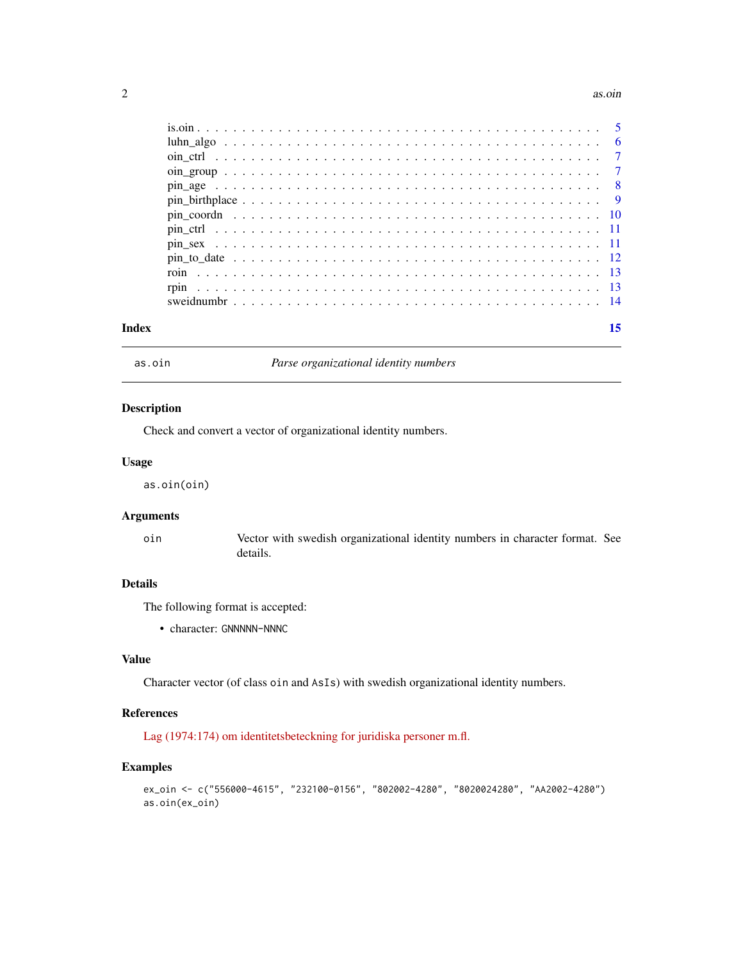#### <span id="page-1-0"></span> $2 \cos \theta$  as  $\sin \theta$  as  $\sin \theta$

| Index |                                                                                                               |  |
|-------|---------------------------------------------------------------------------------------------------------------|--|
|       |                                                                                                               |  |
|       |                                                                                                               |  |
|       |                                                                                                               |  |
|       |                                                                                                               |  |
|       |                                                                                                               |  |
|       |                                                                                                               |  |
|       |                                                                                                               |  |
|       | $pin_birthplace \ldots \ldots \ldots \ldots \ldots \ldots \ldots \ldots \ldots \ldots \ldots \ldots \ldots 9$ |  |
|       |                                                                                                               |  |
|       |                                                                                                               |  |
|       |                                                                                                               |  |
|       |                                                                                                               |  |
|       |                                                                                                               |  |

<span id="page-1-1"></span>as.oin *Parse organizational identity numbers*

#### Description

Check and convert a vector of organizational identity numbers.

#### Usage

as.oin(oin)

#### Arguments

oin Vector with swedish organizational identity numbers in character format. See details.

#### Details

The following format is accepted:

• character: GNNNNN-NNNC

#### Value

Character vector (of class oin and AsIs) with swedish organizational identity numbers.

#### References

[Lag \(1974:174\) om identitetsbeteckning for juridiska personer m.fl.](http://www.riksdagen.se/sv/dokument-lagar/dokument/svensk-forfattningssamling/lag-1974174-om-identitetsbeteckning-for_sfs-1974-174)

```
ex_oin <- c("556000-4615", "232100-0156", "802002-4280", "8020024280", "AA2002-4280")
as.oin(ex_oin)
```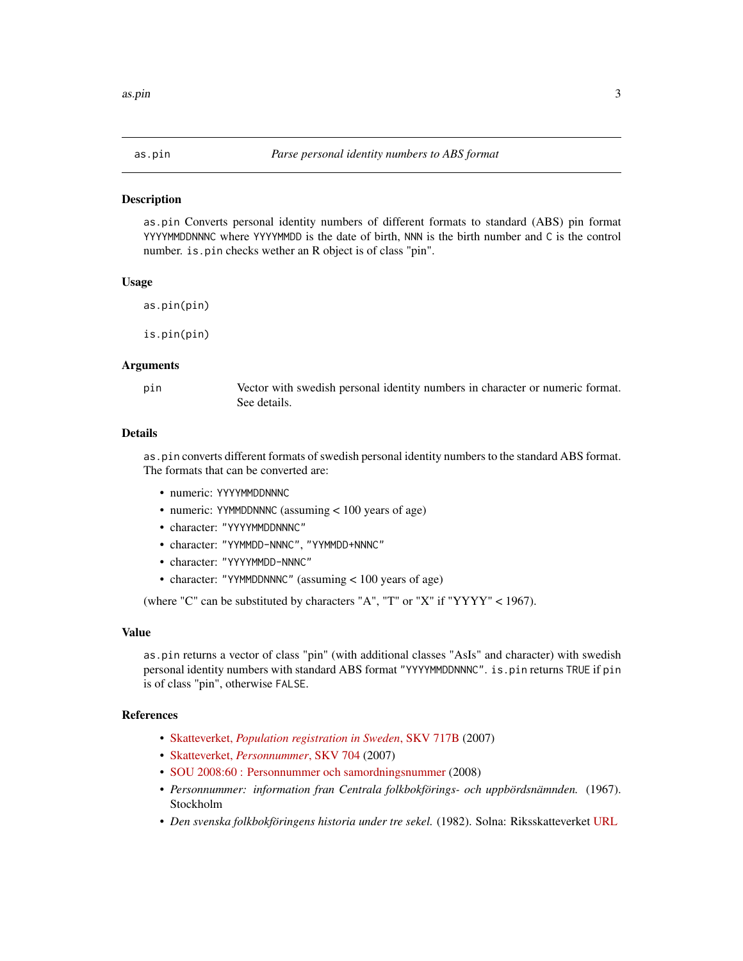<span id="page-2-1"></span><span id="page-2-0"></span>

as.pin Converts personal identity numbers of different formats to standard (ABS) pin format YYYYMMDDNNNC where YYYYMMDD is the date of birth, NNN is the birth number and C is the control number. is.pin checks wether an R object is of class "pin".

#### Usage

as.pin(pin)

is.pin(pin)

#### Arguments

pin Vector with swedish personal identity numbers in character or numeric format. See details.

#### Details

as.pin converts different formats of swedish personal identity numbers to the standard ABS format. The formats that can be converted are:

- numeric: YYYYMMDDNNNC
- numeric: YYMMDDNNNC (assuming < 100 years of age)
- character: "YYYYMMDDNNNC"
- character: "YYMMDD-NNNC", "YYMMDD+NNNC"
- character: "YYYYMMDD-NNNC"
- character: "YYMMDDNNNC" (assuming < 100 years of age)

(where "C" can be substituted by characters "A", "T" or "X" if "YYYY" < 1967).

#### Value

as.pin returns a vector of class "pin" (with additional classes "AsIs" and character) with swedish personal identity numbers with standard ABS format "YYYYMMDDNNNC". is.pin returns TRUE if pin is of class "pin", otherwise FALSE.

#### References

- Skatteverket, *[Population registration in Sweden](https://github.com/rOpenGov/sweidnumbr/blob/master/docs/skv717B-4.pdf)*, SKV 717B (2007)
- Skatteverket, *[Personnummer](https://github.com/rOpenGov/sweidnumbr/blob/master/docs/skv704-8.pdf)*, SKV 704 (2007)
- [SOU 2008:60 : Personnummer och samordningsnummer](http://www.riksdagen.se/sv/Dokument-Lagar/Utredningar/Statens-offentliga-utredningar/Personnummer-och-samordningsnu_GWB360/) (2008)
- *Personnummer: information fran Centrala folkbokförings- och uppbördsnämnden.* (1967). Stockholm
- *Den svenska folkbokföringens historia under tre sekel.* (1982). Solna: Riksskatteverket [URL](http://www.skatteverket.se/privat/folkbokforing/omfolkbokforing/folkbokforingigaridag/densvenskafolkbokforingenshistoriaundertresekler.4.18e1b10334ebe8bc80004141.html)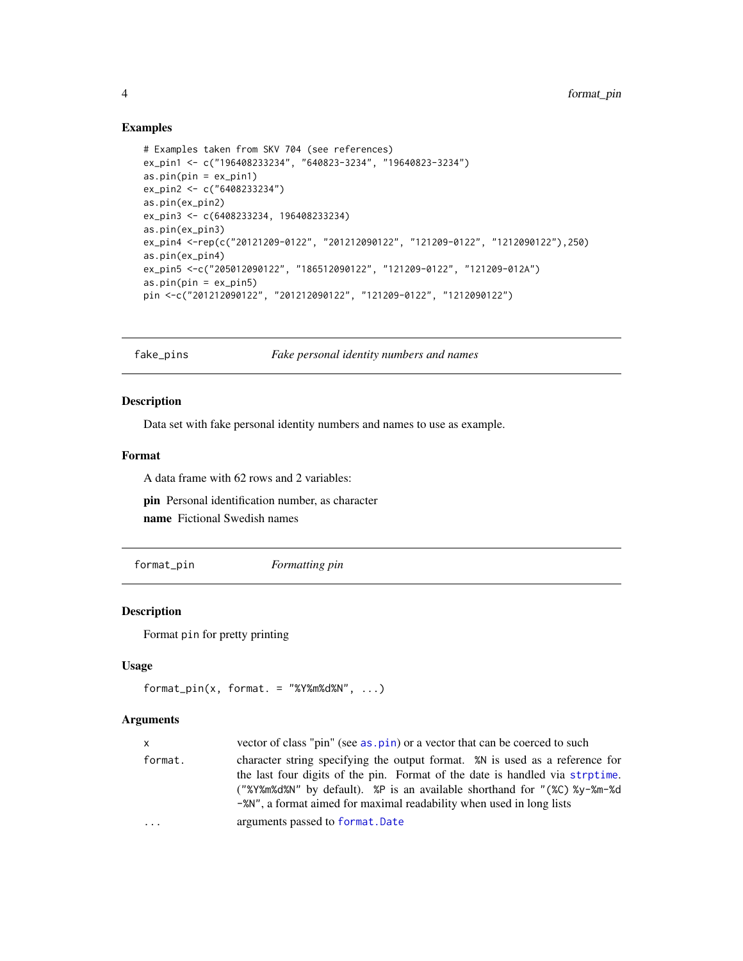#### Examples

```
# Examples taken from SKV 704 (see references)
ex_pin1 <- c("196408233234", "640823-3234", "19640823-3234")
as.pin(pin = ex_pin1)
ex_pin2 <- c("6408233234")
as.pin(ex_pin2)
ex_pin3 <- c(6408233234, 196408233234)
as.pin(ex_pin3)
ex_pin4 <-rep(c("20121209-0122", "201212090122", "121209-0122", "1212090122"),250)
as.pin(ex_pin4)
ex_pin5 <-c("205012090122", "186512090122", "121209-0122", "121209-012A")
as.pin(pin = ex_pin5)
pin <-c("201212090122", "201212090122", "121209-0122", "1212090122")
```
fake\_pins *Fake personal identity numbers and names*

#### Description

Data set with fake personal identity numbers and names to use as example.

#### Format

A data frame with 62 rows and 2 variables:

pin Personal identification number, as character name Fictional Swedish names

format\_pin *Formatting pin*

#### Description

Format pin for pretty printing

#### Usage

```
format\_pin(x, format. = "XY%m%d%N", ...)
```
#### Arguments

| x.      | vector of class "pin" (see as . pin) or a vector that can be coerced to such                                                                                                                                                                                                                                                    |
|---------|---------------------------------------------------------------------------------------------------------------------------------------------------------------------------------------------------------------------------------------------------------------------------------------------------------------------------------|
| format. | character string specifying the output format. <sup>%</sup> N is used as a reference for<br>the last four digits of the pin. Format of the date is handled via strptime.<br>("%Y%m%d%N" by default). %P is an available shorthand for "(%C) %y-%m-%d<br>$-$ %N", a format aimed for maximal readability when used in long lists |
| .       | arguments passed to format. Date                                                                                                                                                                                                                                                                                                |

<span id="page-3-0"></span>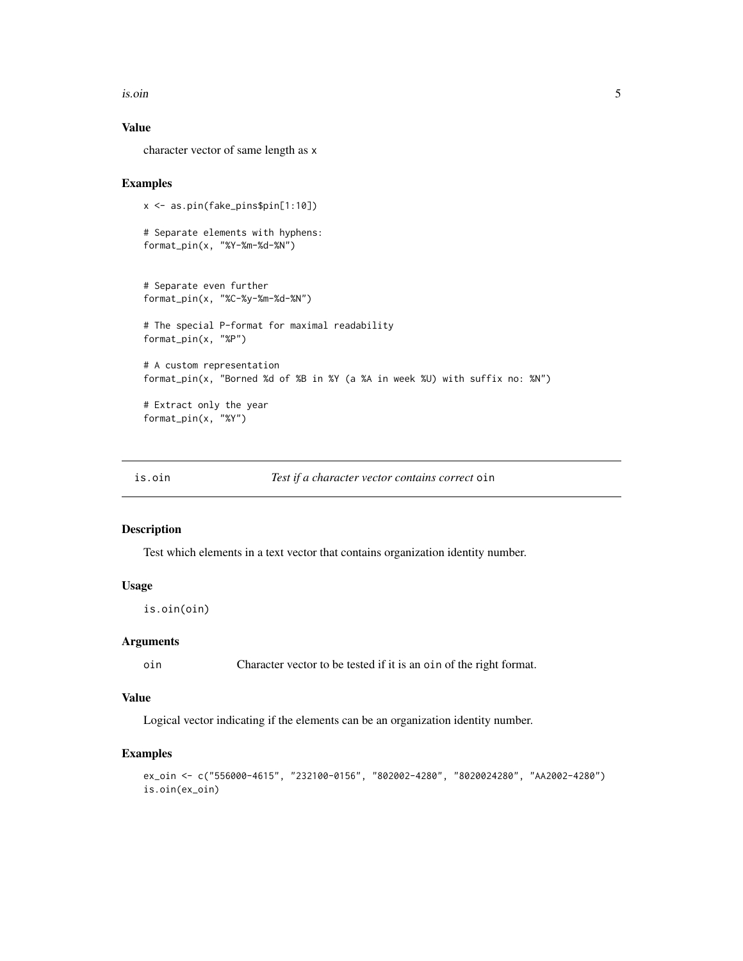<span id="page-4-0"></span>is.oin 5

#### Value

character vector of same length as x

#### Examples

```
x <- as.pin(fake_pins$pin[1:10])
# Separate elements with hyphens:
format_pin(x, "%Y-%m-%d-%N")
# Separate even further
format_pin(x, "%C-%y-%m-%d-%N")
# The special P-format for maximal readability
format_pin(x, "%P")
# A custom representation
format_pin(x, "Borned %d of %B in %Y (a %A in week %U) with suffix no: %N")
# Extract only the year
format_pin(x, "%Y")
```
is.oin *Test if a character vector contains correct* oin

#### Description

Test which elements in a text vector that contains organization identity number.

#### Usage

is.oin(oin)

#### Arguments

oin Character vector to be tested if it is an oin of the right format.

#### Value

Logical vector indicating if the elements can be an organization identity number.

```
ex_oin <- c("556000-4615", "232100-0156", "802002-4280", "8020024280", "AA2002-4280")
is.oin(ex_oin)
```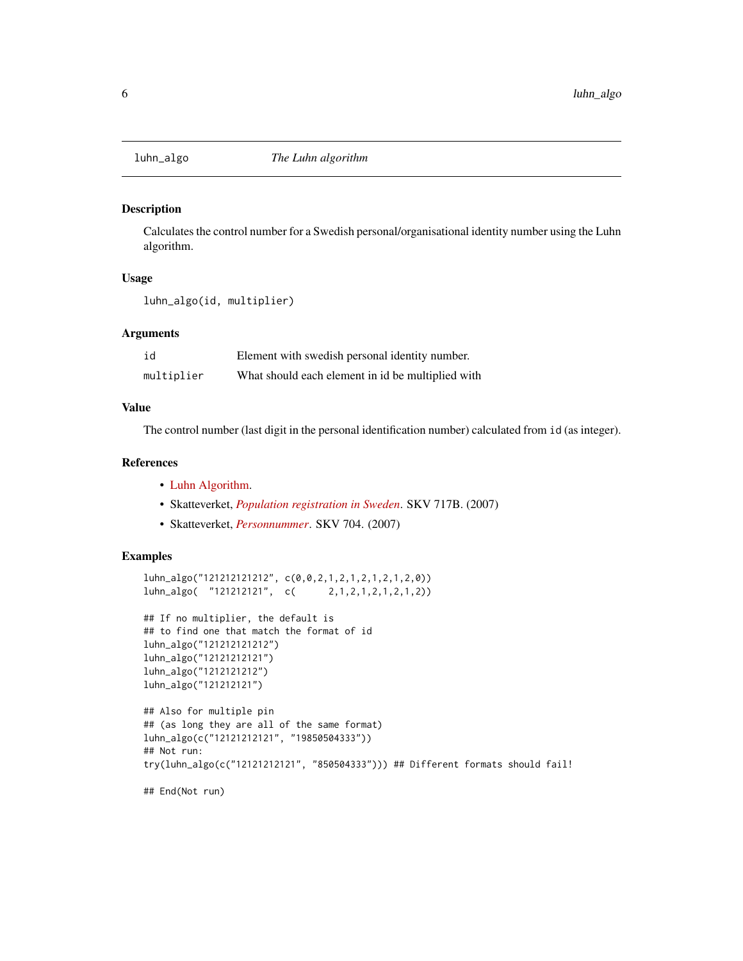<span id="page-5-0"></span>

Calculates the control number for a Swedish personal/organisational identity number using the Luhn algorithm.

#### Usage

luhn\_algo(id, multiplier)

#### Arguments

| id         | Element with swedish personal identity number.    |
|------------|---------------------------------------------------|
| multiplier | What should each element in id be multiplied with |

#### Value

The control number (last digit in the personal identification number) calculated from id (as integer).

#### References

- [Luhn Algorithm.](https://en.wikipedia.org/wiki/Luhn_algorithm)
- Skatteverket, *[Population registration in Sweden](https://github.com/rOpenGov/sweidnumbr/blob/master/docs/skv717B-4.pdf)*. SKV 717B. (2007)
- Skatteverket, *[Personnummer](https://github.com/rOpenGov/sweidnumbr/blob/master/docs/skv704-8.pdf)*. SKV 704. (2007)

#### Examples

```
luhn_algo("121212121212", c(0,0,2,1,2,1,2,1,2,1,2,0))
luhn_algo( "121212121", c( 2,1,2,1,2,1,2,1,2))
```

```
## If no multiplier, the default is
## to find one that match the format of id
luhn_algo("121212121212")
luhn_algo("12121212121")
luhn_algo("1212121212")
luhn_algo("121212121")
```

```
## Also for multiple pin
## (as long they are all of the same format)
luhn_algo(c("12121212121", "19850504333"))
## Not run:
try(luhn_algo(c("12121212121", "850504333"))) ## Different formats should fail!
```
## End(Not run)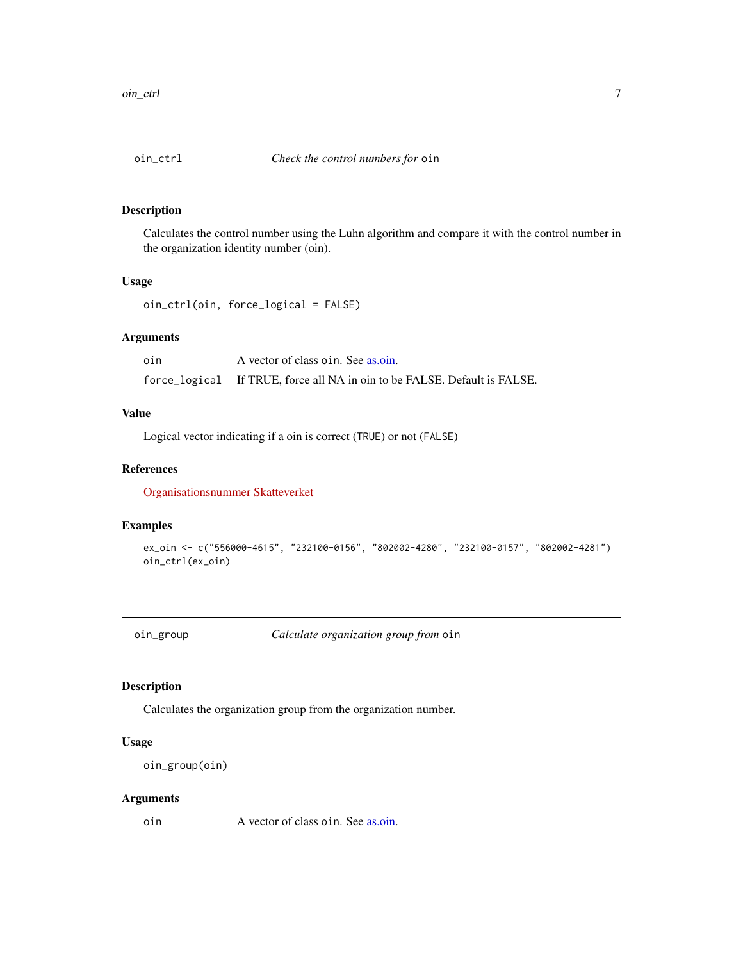<span id="page-6-0"></span>

Calculates the control number using the Luhn algorithm and compare it with the control number in the organization identity number (oin).

#### Usage

oin\_ctrl(oin, force\_logical = FALSE)

#### Arguments

oin A vector of class oin. See [as.oin.](#page-1-1) force\_logical If TRUE, force all NA in oin to be FALSE. Default is FALSE.

#### Value

Logical vector indicating if a oin is correct (TRUE) or not (FALSE)

#### References

[Organisationsnummer Skatteverket](http://www.skatteverket.se/foretagochorganisationer/foretagare/startaochregistrera/organisationsnummer.4.361dc8c15312eff6fd235d1.html?q=organisationsnummer)

#### Examples

```
ex_oin <- c("556000-4615", "232100-0156", "802002-4280", "232100-0157", "802002-4281")
oin_ctrl(ex_oin)
```
oin\_group *Calculate organization group from* oin

#### Description

Calculates the organization group from the organization number.

#### Usage

```
oin_group(oin)
```
#### Arguments

oin A vector of class oin. See [as.oin.](#page-1-1)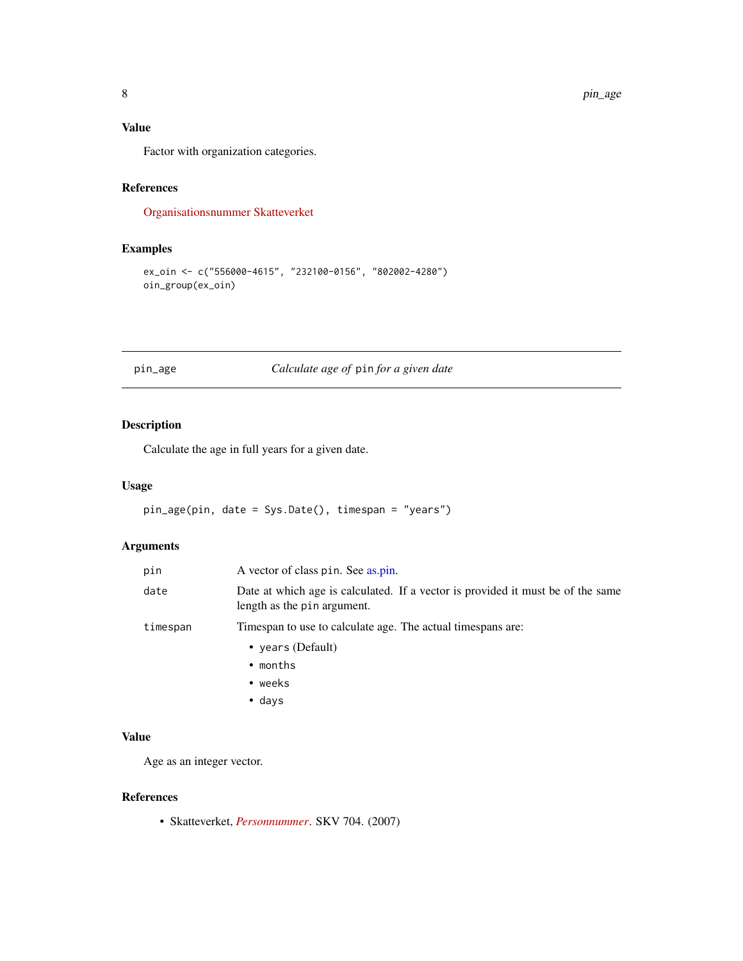#### <span id="page-7-0"></span>Value

Factor with organization categories.

#### References

[Organisationsnummer Skatteverket](http://www.skatteverket.se/foretagochorganisationer/foretagare/startaochregistrera/organisationsnummer.4.361dc8c15312eff6fd235d1.html?q=organisationsnummer)

#### Examples

```
ex_oin <- c("556000-4615", "232100-0156", "802002-4280")
oin_group(ex_oin)
```
#### pin\_age *Calculate age of* pin *for a given date*

#### Description

Calculate the age in full years for a given date.

#### Usage

```
pin_age(pin, date = Sys.Date(), timespan = "years")
```
#### Arguments

| pin      | A vector of class pin. See as.pin.                                                                             |
|----------|----------------------------------------------------------------------------------------------------------------|
| date     | Date at which age is calculated. If a vector is provided it must be of the same<br>length as the pin argument. |
| timespan | Timespan to use to calculate age. The actual timespans are:                                                    |
|          | • years (Default)                                                                                              |
|          | $\bullet$ months                                                                                               |
|          | $\bullet$ weeks                                                                                                |
|          | $\bullet$ days                                                                                                 |

#### Value

Age as an integer vector.

#### References

• Skatteverket, *[Personnummer](https://github.com/rOpenGov/sweidnumbr/blob/master/docs/skv704-8.pdf)*. SKV 704. (2007)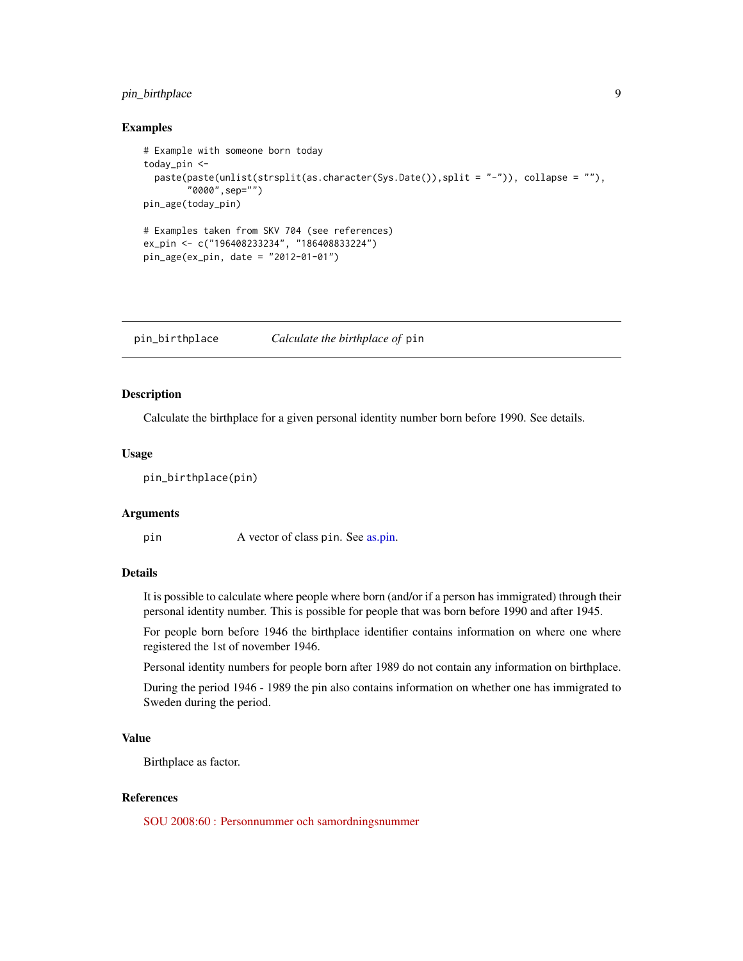#### <span id="page-8-0"></span>pin\_birthplace 9

#### Examples

```
# Example with someone born today
today_pin <-
 paste(paste(unlist(strsplit(as.character(Sys.Date()),split = "-")), collapse = ""),
        "0000",sep="")
pin_age(today_pin)
# Examples taken from SKV 704 (see references)
ex_pin <- c("196408233234", "186408833224")
pin_age(ex_pin, date = "2012-01-01")
```
pin\_birthplace *Calculate the birthplace of* pin

#### Description

Calculate the birthplace for a given personal identity number born before 1990. See details.

#### Usage

pin\_birthplace(pin)

#### Arguments

pin A vector of class pin. See [as.pin.](#page-2-1)

#### Details

It is possible to calculate where people where born (and/or if a person has immigrated) through their personal identity number. This is possible for people that was born before 1990 and after 1945.

For people born before 1946 the birthplace identifier contains information on where one where registered the 1st of november 1946.

Personal identity numbers for people born after 1989 do not contain any information on birthplace.

During the period 1946 - 1989 the pin also contains information on whether one has immigrated to Sweden during the period.

#### Value

Birthplace as factor.

#### References

[SOU 2008:60 : Personnummer och samordningsnummer](http://www.riksdagen.se/sv/Dokument-Lagar/Utredningar/Statens-offentliga-utredningar/Personnummer-och-samordningsnu_GWB360/)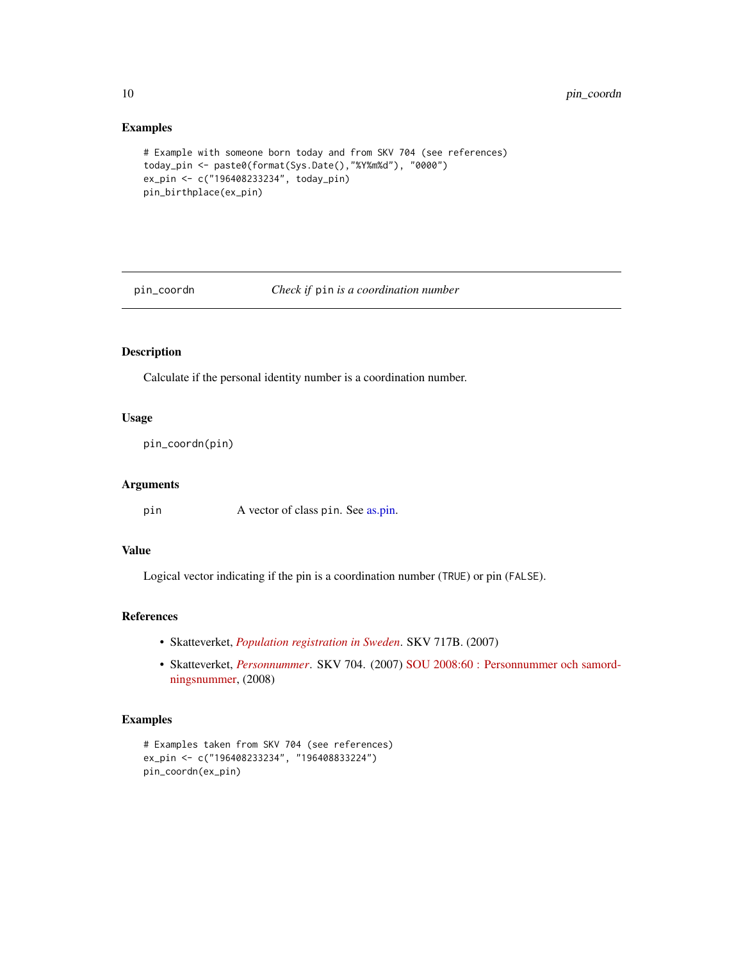#### Examples

```
# Example with someone born today and from SKV 704 (see references)
today_pin <- paste0(format(Sys.Date(),"%Y%m%d"), "0000")
ex_pin <- c("196408233234", today_pin)
pin_birthplace(ex_pin)
```
pin\_coordn *Check if* pin *is a coordination number*

#### Description

Calculate if the personal identity number is a coordination number.

#### Usage

```
pin_coordn(pin)
```
#### Arguments

pin A vector of class pin. See [as.pin.](#page-2-1)

#### Value

Logical vector indicating if the pin is a coordination number (TRUE) or pin (FALSE).

#### References

- Skatteverket, *[Population registration in Sweden](https://github.com/rOpenGov/sweidnumbr/blob/master/docs/skv717B-4.pdf)*. SKV 717B. (2007)
- Skatteverket, *[Personnummer](https://github.com/rOpenGov/sweidnumbr/blob/master/docs/skv704-8.pdf)*. SKV 704. (2007) [SOU 2008:60 : Personnummer och samord](http://www.riksdagen.se/sv/Dokument-Lagar/Utredningar/Statens-offentliga-utredningar/Personnummer-och-samordningsnu_GWB360/)[ningsnummer,](http://www.riksdagen.se/sv/Dokument-Lagar/Utredningar/Statens-offentliga-utredningar/Personnummer-och-samordningsnu_GWB360/) (2008)

```
# Examples taken from SKV 704 (see references)
ex_pin <- c("196408233234", "196408833224")
pin_coordn(ex_pin)
```
<span id="page-9-0"></span>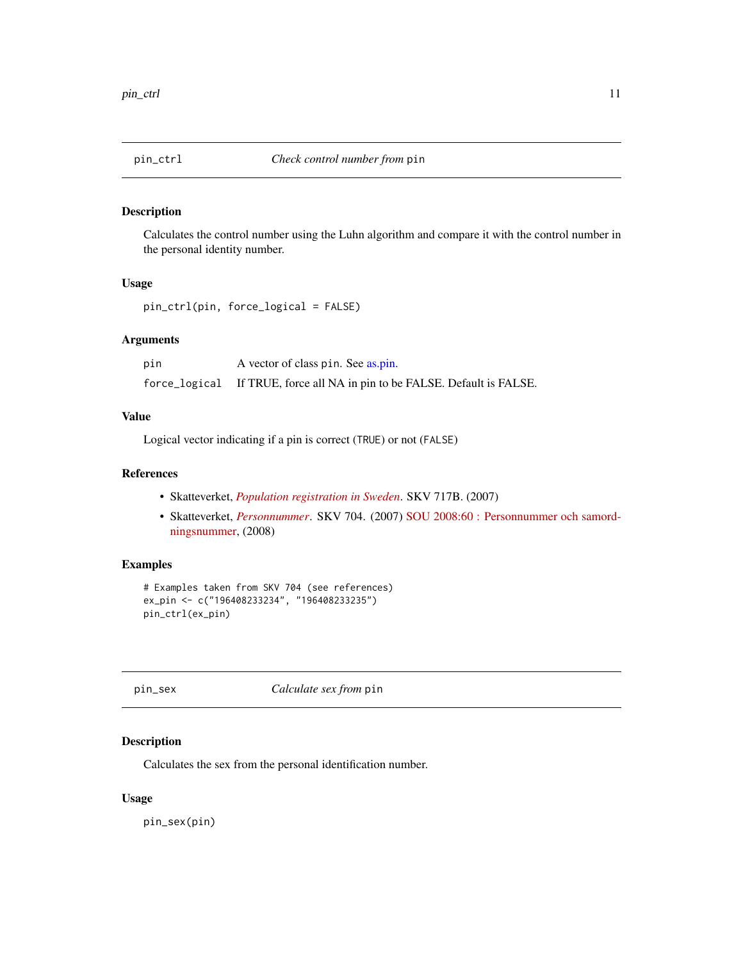<span id="page-10-0"></span>

Calculates the control number using the Luhn algorithm and compare it with the control number in the personal identity number.

#### Usage

```
pin_ctrl(pin, force_logical = FALSE)
```
#### Arguments

| pin | A vector of class pin. See as.pin.                                        |
|-----|---------------------------------------------------------------------------|
|     | force_logical If TRUE, force all NA in pin to be FALSE. Default is FALSE. |

#### Value

Logical vector indicating if a pin is correct (TRUE) or not (FALSE)

#### References

- Skatteverket, *[Population registration in Sweden](https://github.com/rOpenGov/sweidnumbr/blob/master/docs/skv717B-4.pdf)*. SKV 717B. (2007)
- Skatteverket, *[Personnummer](https://github.com/rOpenGov/sweidnumbr/blob/master/docs/skv704-8.pdf)*. SKV 704. (2007) [SOU 2008:60 : Personnummer och samord](http://www.riksdagen.se/sv/Dokument-Lagar/Utredningar/Statens-offentliga-utredningar/Personnummer-och-samordningsnu_GWB360/)[ningsnummer,](http://www.riksdagen.se/sv/Dokument-Lagar/Utredningar/Statens-offentliga-utredningar/Personnummer-och-samordningsnu_GWB360/) (2008)

#### Examples

```
# Examples taken from SKV 704 (see references)
ex_pin <- c("196408233234", "196408233235")
pin_ctrl(ex_pin)
```
pin\_sex *Calculate sex from* pin

#### Description

Calculates the sex from the personal identification number.

#### Usage

pin\_sex(pin)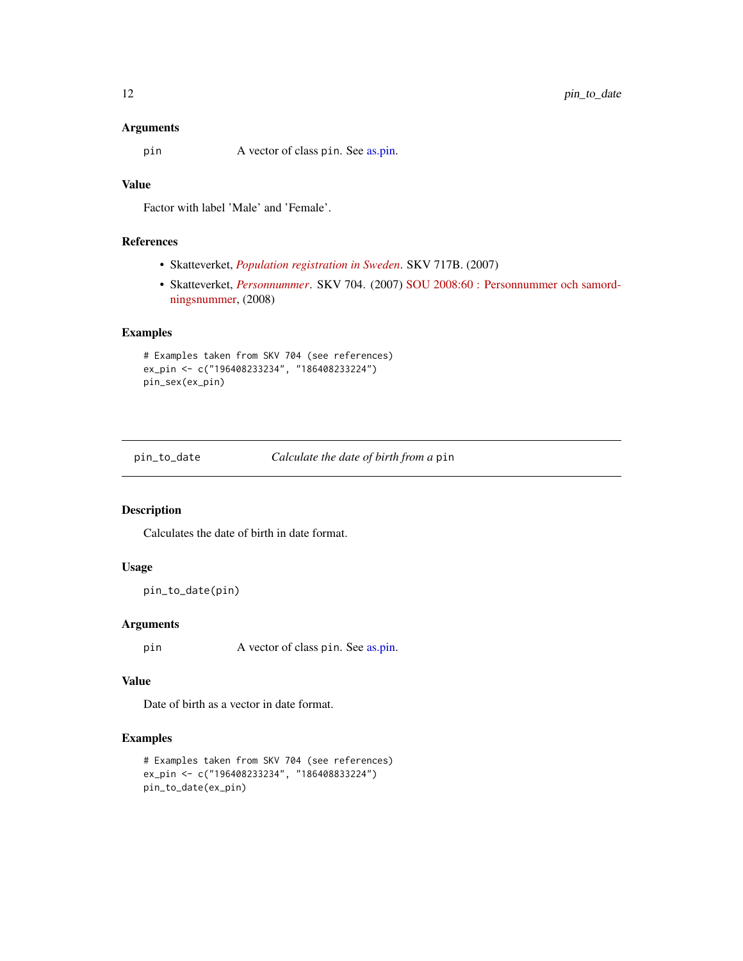#### <span id="page-11-0"></span>Arguments

pin A vector of class pin. See [as.pin.](#page-2-1)

#### Value

Factor with label 'Male' and 'Female'.

#### References

- Skatteverket, *[Population registration in Sweden](https://github.com/rOpenGov/sweidnumbr/blob/master/docs/skv717B-4.pdf)*. SKV 717B. (2007)
- Skatteverket, *[Personnummer](https://github.com/rOpenGov/sweidnumbr/blob/master/docs/skv704-8.pdf)*. SKV 704. (2007) [SOU 2008:60 : Personnummer och samord](http://www.riksdagen.se/sv/Dokument-Lagar/Utredningar/Statens-offentliga-utredningar/Personnummer-och-samordningsnu_GWB360/)[ningsnummer,](http://www.riksdagen.se/sv/Dokument-Lagar/Utredningar/Statens-offentliga-utredningar/Personnummer-och-samordningsnu_GWB360/) (2008)

#### Examples

```
# Examples taken from SKV 704 (see references)
ex_pin <- c("196408233234", "186408233224")
pin_sex(ex_pin)
```
pin\_to\_date *Calculate the date of birth from a* pin

#### Description

Calculates the date of birth in date format.

#### Usage

```
pin_to_date(pin)
```
#### Arguments

pin A vector of class pin. See [as.pin.](#page-2-1)

#### Value

Date of birth as a vector in date format.

```
# Examples taken from SKV 704 (see references)
ex_pin <- c("196408233234", "186408833224")
pin_to_date(ex_pin)
```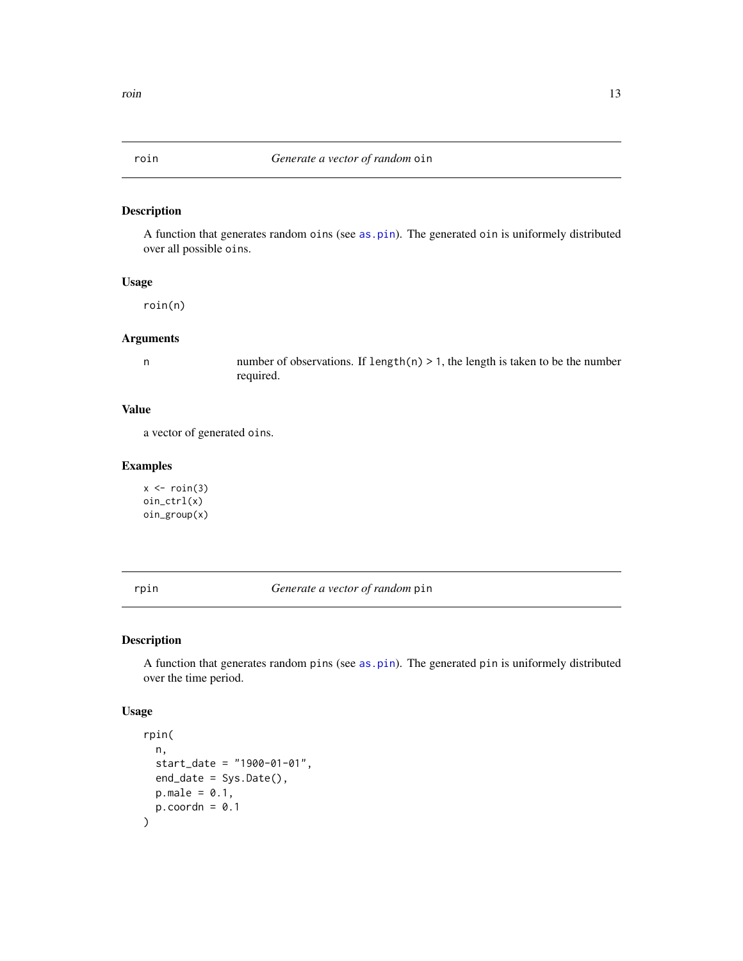<span id="page-12-0"></span>

A function that generates random oins (see [as.pin](#page-2-1)). The generated oin is uniformely distributed over all possible oins.

#### Usage

roin(n)

#### Arguments

n number of observations. If length(n) > 1, the length is taken to be the number required.

#### Value

a vector of generated oins.

#### Examples

 $x \leftarrow \text{roin}(3)$ oin\_ctrl(x) oin\_group(x)

rpin *Generate a vector of random* pin

#### Description

A function that generates random pins (see [as.pin](#page-2-1)). The generated pin is uniformely distributed over the time period.

#### Usage

```
rpin(
  n,
  start_date = "1900-01-01",
  end_date = Sys.Date(),
 p.make = 0.1,
  p.coordn = 0.1\mathcal{E}
```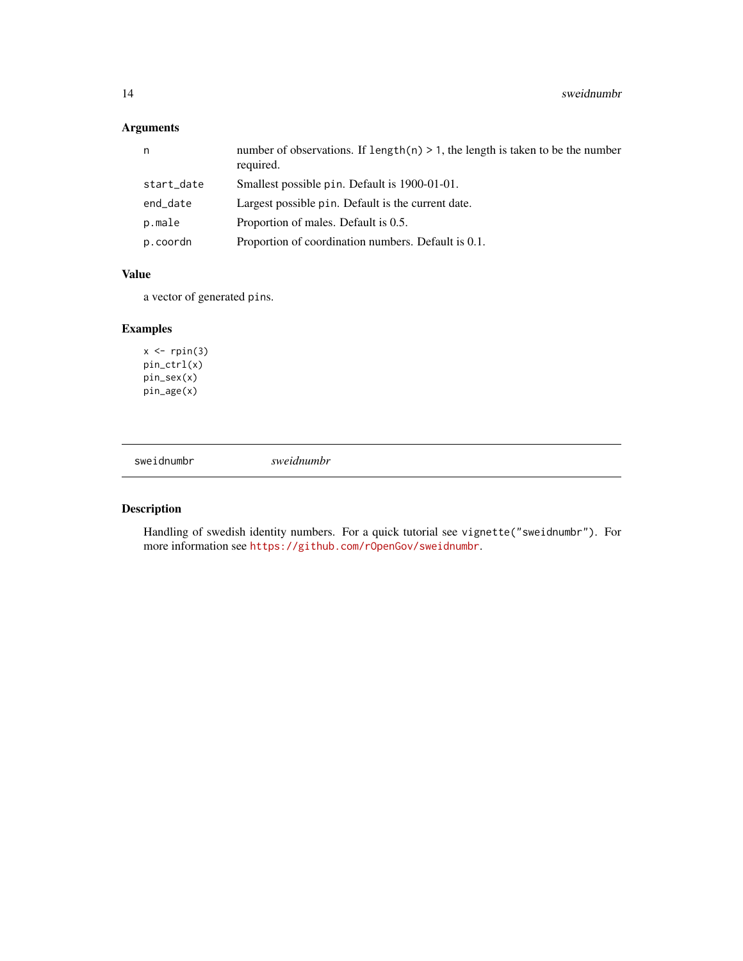### <span id="page-13-0"></span>Arguments

| n          | number of observations. If length(n) $> 1$ , the length is taken to be the number<br>required. |
|------------|------------------------------------------------------------------------------------------------|
| start_date | Smallest possible pin. Default is 1900-01-01.                                                  |
| end_date   | Largest possible pin. Default is the current date.                                             |
| p.male     | Proportion of males. Default is 0.5.                                                           |
| p.coordn   | Proportion of coordination numbers. Default is 0.1.                                            |

#### Value

a vector of generated pins.

#### Examples

 $x \leftarrow$  rpin(3) pin\_ctrl(x) pin\_sex(x) pin\_age(x)

sweidnumbr *sweidnumbr*

#### Description

Handling of swedish identity numbers. For a quick tutorial see vignette("sweidnumbr"). For more information see <https://github.com/rOpenGov/sweidnumbr>.